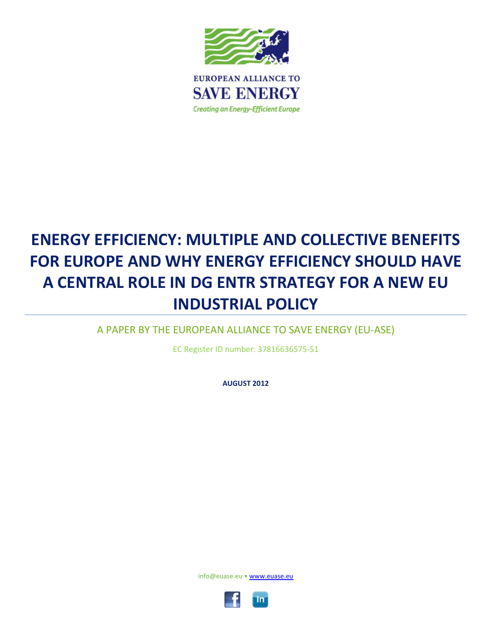

# **ENERGY EFFICIENCY: MULTIPLE AND COLLECTIVE BENEFITS FOR EUROPE AND WHY ENERGY EFFICIENCY SHOULD HAVE A CENTRAL ROLE IN DG ENTR STRATEGY FOR A NEW EU INDUSTRIAL POLICY**

A PAPER BY THE EUROPEAN ALLIANCE TO SAVE ENERGY (EU-ASE)

EC Register ID number: 37816636575-51

**AUGUST 2012**

<span id="page-0-0"></span>info@euase.eu • [www.euase.eu](http://www.euase.eu/)

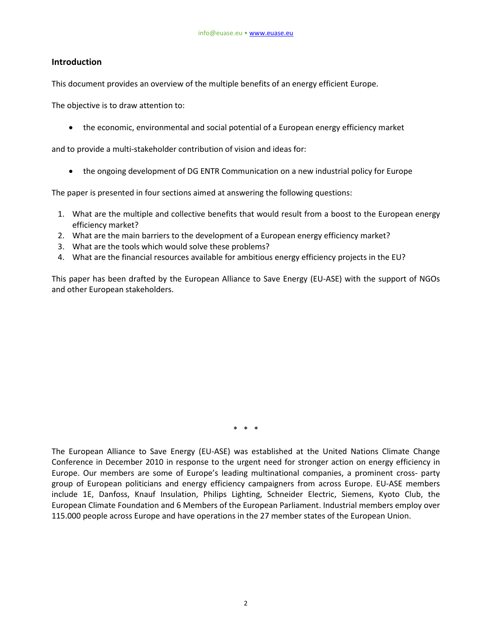### **Introduction**

This document provides an overview of the multiple benefits of an energy efficient Europe.

The objective is to draw attention to:

• the economic, environmental and social potential of a European energy efficiency market

and to provide a multi-stakeholder contribution of vision and ideas for:

• the ongoing development of DG ENTR Communication on a new industrial policy for Europe

The paper is presented in four sections aimed at answering the following questions:

- 1. What are the multiple and collective benefits that would result from a boost to the European energy efficiency market?
- 2. What are the main barriers to the development of a European energy efficiency market?
- 3. What are the tools which would solve these problems?
- 4. What are the financial resources available for ambitious energy efficiency projects in the EU?

This paper has been drafted by the European Alliance to Save Energy (EU-ASE) with the support of NGOs and other European stakeholders.

\* \* \*

The European Alliance to Save Energy (EU-ASE) was established at the United Nations Climate Change Conference in December 2010 in response to the urgent need for stronger action on energy efficiency in Europe. Our members are some of Europe's leading multinational companies, a prominent cross- party group of European politicians and energy efficiency campaigners from across Europe. EU-ASE members include 1E, Danfoss, Knauf Insulation, Philips Lighting, Schneider Electric, Siemens, Kyoto Club, the European Climate Foundation and 6 Members of the European Parliament. Industrial members employ over 115.000 people across Europe and have operations in the 27 member states of the European Union.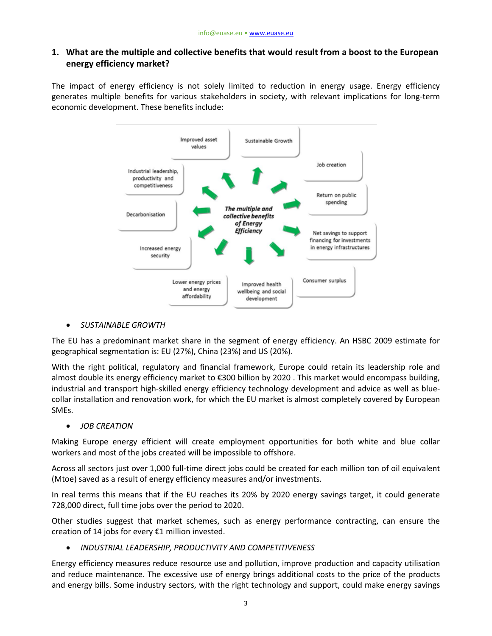## **1. What are the multiple and collective benefits that would result from a boost to the European energy efficiency market?**

The impact of energy efficiency is not solely limited to reduction in energy usage. Energy efficiency generates multiple benefits for various stakeholders in society, with relevant implications for long-term economic development. These benefits include:



• *SUSTAINABLE GROWTH* 

The EU has a predominant market share in the segment of energy efficiency. An HSBC 2009 estimate for geographical segmentation is: EU (27%), China (23%) and US (20%).

With the right political, regulatory and financial framework, Europe could retain its leadership role and almost double its energy efficiency market to €300 billion by 2020 . This market would encompass building, industrial and transport high-skilled energy efficiency technology development and advice as well as bluecollar installation and renovation work, for which the EU market is almost completely covered by European SMEs.

• *JOB CREATION*

Making Europe energy efficient will create employment opportunities for both white and blue collar workers and most of the jobs created will be impossible to offshore.

Across all sectors just over 1,000 full-time direct jobs could be created for each million ton of oil equivalent (Mtoe) saved as a result of energy efficiency measures and/or investments.

In real terms this means that if the EU reaches its 20% by 2020 energy savings target, it could generate 728,000 direct, full time jobs over the period to 2020.

Other studies suggest that market schemes, such as energy performance contracting, can ensure the creation of 14 jobs for every €1 million invested.

• *INDUSTRIAL LEADERSHIP, PRODUCTIVITY AND COMPETITIVENESS* 

Energy efficiency measures reduce resource use and pollution, improve production and capacity utilisation and reduce maintenance. The excessive use of energy brings additional costs to the price of the products and energy bills. Some industry sectors, with the right technology and support, could make energy savings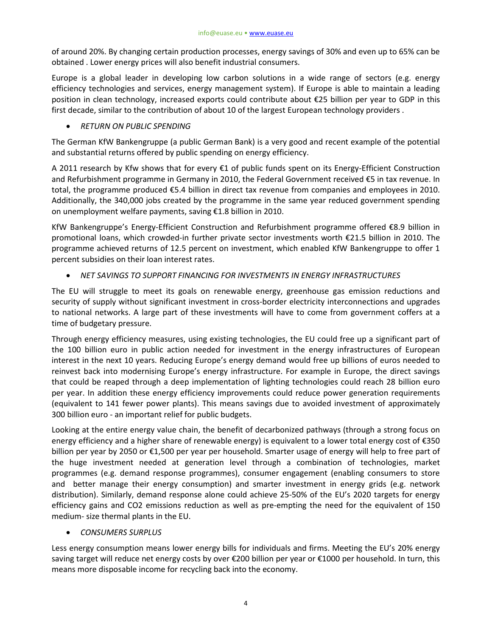of around 20%. By changing certain production processes, energy savings of 30% and even up to 65% can be obtained . Lower energy prices will also benefit industrial consumers.

Europe is a global leader in developing low carbon solutions in a wide range of sectors (e.g. energy efficiency technologies and services, energy management system). If Europe is able to maintain a leading position in clean technology, increased exports could contribute about €25 billion per year to GDP in this first decade, similar to the contribution of about 10 of the largest European technology providers .

### • *RETURN ON PUBLIC SPENDING*

The German KfW Bankengruppe (a public German Bank) is a very good and recent example of the potential and substantial returns offered by public spending on energy efficiency.

A 2011 research by Kfw shows that for every €1 of public funds spent on its Energy-Efficient Construction and Refurbishment programme in Germany in 2010, the Federal Government received €5 in tax revenue. In total, the programme produced €5.4 billion in direct tax revenue from companies and employees in 2010. Additionally, the 340,000 jobs created by the programme in the same year reduced government spending on unemployment welfare payments, saving €1.8 billion in 2010.

KfW Bankengruppe's Energy-Efficient Construction and Refurbishment programme offered €8.9 billion in promotional loans, which crowded-in further private sector investments worth €21.5 billion in 2010. The programme achieved returns of 12.5 percent on investment, which enabled KfW Bankengruppe to offer 1 percent subsidies on their loan interest rates.

### • *NET SAVINGS TO SUPPORT FINANCING FOR INVESTMENTS IN ENERGY INFRASTRUCTURES*

The EU will struggle to meet its goals on renewable energy, greenhouse gas emission reductions and security of supply without significant investment in cross-border electricity interconnections and upgrades to national networks. A large part of these investments will have to come from government coffers at a time of budgetary pressure.

Through energy efficiency measures, using existing technologies, the EU could free up a significant part of the 100 billion euro in public action needed for investment in the energy infrastructures of European interest in the next 10 years. Reducing Europe's energy demand would free up billions of euros needed to reinvest back into modernising Europe's energy infrastructure. For example in Europe, the direct savings that could be reaped through a deep implementation of lighting technologies could reach 28 billion euro per year. In addition these energy efficiency improvements could reduce power generation requirements (equivalent to 141 fewer power plants). This means savings due to avoided investment of approximately 300 billion euro - an important relief for public budgets.

Looking at the entire energy value chain, the benefit of decarbonized pathways (through a strong focus on energy efficiency and a higher share of renewable energy) is equivalent to a lower total energy cost of €350 billion per year by 2050 or €1,500 per year per household. Smarter usage of energy will help to free part of the huge investment needed at generation level through a combination of technologies, market programmes (e.g. demand response programmes), consumer engagement (enabling consumers to store and better manage their energy consumption) and smarter investment in energy grids (e.g. network distribution). Similarly, demand response alone could achieve 25-50% of the EU's 2020 targets for energy efficiency gains and CO2 emissions reduction as well as pre-empting the need for the equivalent of 150 medium- size thermal plants in the EU.

#### • *CONSUMERS SURPLUS*

Less energy consumption means lower energy bills for individuals and firms. Meeting the EU's 20% energy saving target will reduce net energy costs by over €200 billion per year or €1000 per household. In turn, this means more disposable income for recycling back into the economy.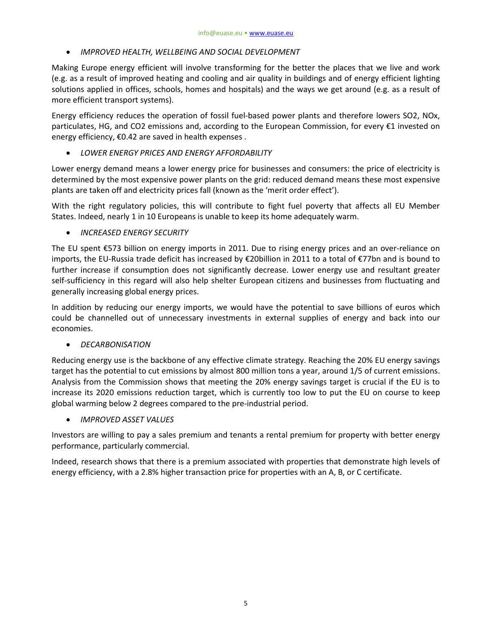• *IMPROVED HEALTH, WELLBEING AND SOCIAL DEVELOPMENT*

Making Europe energy efficient will involve transforming for the better the places that we live and work (e.g. as a result of improved heating and cooling and air quality in buildings and of energy efficient lighting solutions applied in offices, schools, homes and hospitals) and the ways we get around (e.g. as a result of more efficient transport systems).

Energy efficiency reduces the operation of fossil fuel-based power plants and therefore lowers SO2, NOx, particulates, HG, and CO2 emissions and, according to the European Commission, for every €1 invested on energy efficiency, €0.42 are saved in health expenses .

• *LOWER ENERGY PRICES AND ENERGY AFFORDABILITY* 

Lower energy demand means a lower energy price for businesses and consumers: the price of electricity is determined by the most expensive power plants on the grid: reduced demand means these most expensive plants are taken off and electricity prices fall (known as the 'merit order effect').

With the right regulatory policies, this will contribute to fight fuel poverty that affects all EU Member States. Indeed, nearly 1 in 10 Europeans is unable to keep its home adequately warm.

• *INCREASED ENERGY SECURITY*

The EU spent €573 billion on energy imports in 2011. Due to rising energy prices and an over-reliance on imports, the EU-Russia trade deficit has increased by €20billion in 2011 to a total of €77bn and is bound to further increase if consumption does not significantly decrease. Lower energy use and resultant greater self-sufficiency in this regard will also help shelter European citizens and businesses from fluctuating and generally increasing global energy prices.

In addition by reducing our energy imports, we would have the potential to save billions of euros which could be channelled out of unnecessary investments in external supplies of energy and back into our economies.

#### • *DECARBONISATION*

Reducing energy use is the backbone of any effective climate strategy. Reaching the 20% EU energy savings target has the potential to cut emissions by almost 800 million tons a year, around 1/5 of current emissions. Analysis from the Commission shows that meeting the 20% energy savings target is crucial if the EU is to increase its 2020 emissions reduction target, which is currently too low to put the EU on course to keep global warming below 2 degrees compared to the pre-industrial period.

• *IMPROVED ASSET VALUES*

Investors are willing to pay a sales premium and tenants a rental premium for property with better energy performance, particularly commercial.

Indeed, research shows that there is a premium associated with properties that demonstrate high levels of energy efficiency, with a 2.8% higher transaction price for properties with an A, B, or C certificate.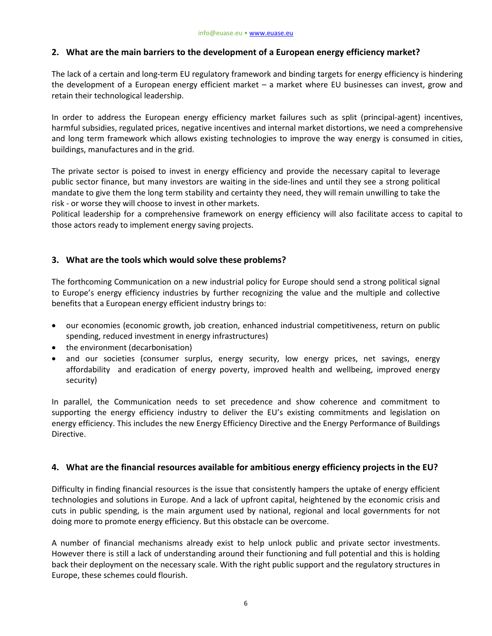## **2. What are the main barriers to the development of a European energy efficiency market?**

The lack of a certain and long-term EU regulatory framework and binding targets for energy efficiency is hindering the development of a European energy efficient market – a market where EU businesses can invest, grow and retain their technological leadership.

In order to address the European energy efficiency market failures such as split (principal-agent) incentives, harmful subsidies, regulated prices, negative incentives and internal market distortions, we need a comprehensive and long term framework which allows existing technologies to improve the way energy is consumed in cities, buildings, manufactures and in the grid.

The private sector is poised to invest in energy efficiency and provide the necessary capital to leverage public sector finance, but many investors are waiting in the side-lines and until they see a strong political mandate to give them the long term stability and certainty they need, they will remain unwilling to take the risk - or worse they will choose to invest in other markets.

Political leadership for a comprehensive framework on energy efficiency will also facilitate access to capital to those actors ready to implement energy saving projects.

## **3. What are the tools which would solve these problems?**

The forthcoming Communication on a new industrial policy for Europe should send a strong political signal to Europe's energy efficiency industries by further recognizing the value and the multiple and collective benefits that a European energy efficient industry brings to:

- our economies (economic growth, job creation, enhanced industrial competitiveness, return on public spending, reduced investment in energy infrastructures)
- the environment (decarbonisation)
- and our societies (consumer surplus, energy security, low energy prices, net savings, energy affordability and eradication of energy poverty, improved health and wellbeing, improved energy security)

In parallel, the Communication needs to set precedence and show coherence and commitment to supporting the energy efficiency industry to deliver the EU's existing commitments and legislation on energy efficiency. This includes the new Energy Efficiency Directive and the Energy Performance of Buildings Directive.

#### **4. What are the financial resources available for ambitious energy efficiency projects in the EU?**

Difficulty in finding financial resources is the issue that consistently hampers the uptake of energy efficient technologies and solutions in Europe. And a lack of upfront capital, heightened by the economic crisis and cuts in public spending, is the main argument used by national, regional and local governments for not doing more to promote energy efficiency. But this obstacle can be overcome.

A number of financial mechanisms already exist to help unlock public and private sector investments. However there is still a lack of understanding around their functioning and full potential and this is holding back their deployment on the necessary scale. With the right public support and the regulatory structures in Europe, these schemes could flourish.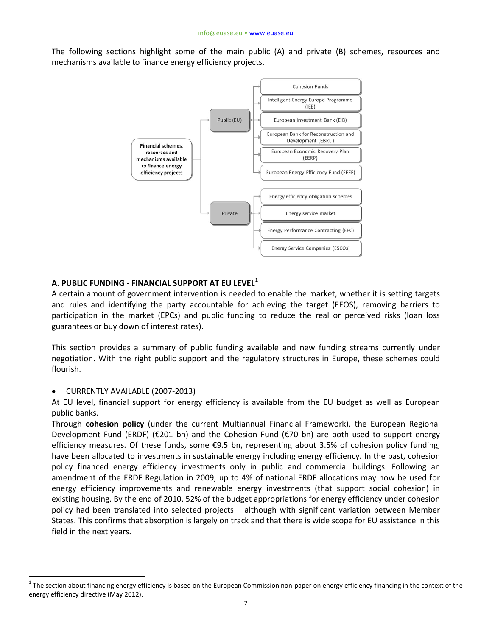The following sections highlight some of the main public (A) and private (B) schemes, resources and mechanisms available to finance energy efficiency projects.



## **A. PUBLIC FUNDING - FINANCIAL SUPPORT AT EU LEVEL[1](#page-0-0)**

A certain amount of government intervention is needed to enable the market, whether it is setting targets and rules and identifying the party accountable for achieving the target (EEOS), removing barriers to participation in the market (EPCs) and public funding to reduce the real or perceived risks (loan loss guarantees or buy down of interest rates).

This section provides a summary of public funding available and new funding streams currently under negotiation. With the right public support and the regulatory structures in Europe, these schemes could flourish.

#### • CURRENTLY AVAILABLE (2007-2013)

At EU level, financial support for energy efficiency is available from the EU budget as well as European public banks.

Through **cohesion policy** (under the current Multiannual Financial Framework), the European Regional Development Fund (ERDF) (€201 bn) and the Cohesion Fund (€70 bn) are both used to support energy efficiency measures. Of these funds, some €9.5 bn, representing about 3.5% of cohesion policy funding, have been allocated to investments in sustainable energy including energy efficiency. In the past, cohesion policy financed energy efficiency investments only in public and commercial buildings. Following an amendment of the ERDF Regulation in 2009, up to 4% of national ERDF allocations may now be used for energy efficiency improvements and renewable energy investments (that support social cohesion) in existing housing. By the end of 2010, 52% of the budget appropriations for energy efficiency under cohesion policy had been translated into selected projects – although with significant variation between Member States. This confirms that absorption is largely on track and that there is wide scope for EU assistance in this field in the next years.

 $1$  The section about financing energy efficiency is based on the European Commission non-paper on energy efficiency financing in the context of the energy efficiency directive (May 2012).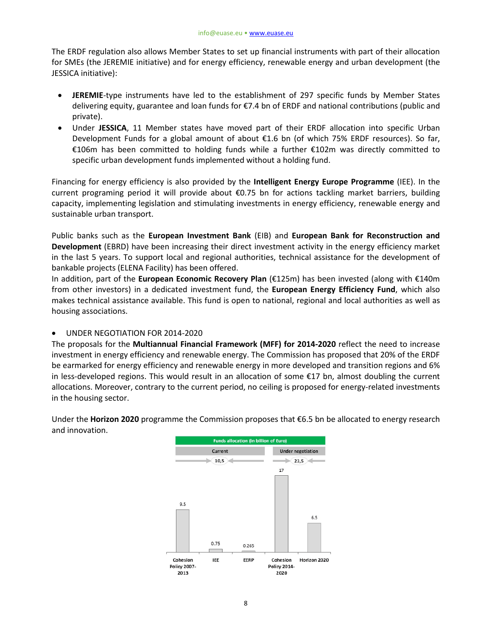The ERDF regulation also allows Member States to set up financial instruments with part of their allocation for SMEs (the JEREMIE initiative) and for energy efficiency, renewable energy and urban development (the JESSICA initiative):

- **JEREMIE**-type instruments have led to the establishment of 297 specific funds by Member States delivering equity, guarantee and loan funds for €7.4 bn of ERDF and national contributions (public and private).
- Under **JESSICA**, 11 Member states have moved part of their ERDF allocation into specific Urban Development Funds for a global amount of about €1.6 bn (of which 75% ERDF resources). So far, €106m has been committed to holding funds while a further €102m was directly committed to specific urban development funds implemented without a holding fund.

Financing for energy efficiency is also provided by the **Intelligent Energy Europe Programme** (IEE). In the current programing period it will provide about €0.75 bn for actions tackling market barriers, building capacity, implementing legislation and stimulating investments in energy efficiency, renewable energy and sustainable urban transport.

Public banks such as the **European Investment Bank** (EIB) and **European Bank for Reconstruction and Development** (EBRD) have been increasing their direct investment activity in the energy efficiency market in the last 5 years. To support local and regional authorities, technical assistance for the development of bankable projects (ELENA Facility) has been offered.

In addition, part of the **European Economic Recovery Plan** (€125m) has been invested (along with €140m from other investors) in a dedicated investment fund, the **European Energy Efficiency Fund**, which also makes technical assistance available. This fund is open to national, regional and local authorities as well as housing associations.

• UNDER NEGOTIATION FOR 2014-2020

The proposals for the **Multiannual Financial Framework (MFF) for 2014-2020** reflect the need to increase investment in energy efficiency and renewable energy. The Commission has proposed that 20% of the ERDF be earmarked for energy efficiency and renewable energy in more developed and transition regions and 6% in less-developed regions. This would result in an allocation of some €17 bn, almost doubling the current allocations. Moreover, contrary to the current period, no ceiling is proposed for energy-related investments in the housing sector.

Under the **Horizon 2020** programme the Commission proposes that €6.5 bn be allocated to energy research and innovation.